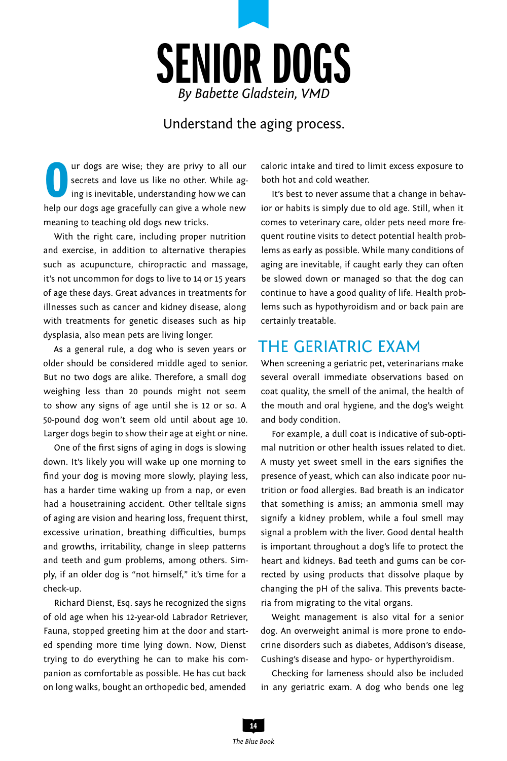

#### Understand the aging process.

Our dogs are wise; they are privy to all our secrets and love us like no other. While aging is inevitable, understanding how we can help our dogs age gracefully can give a whole new ur dogs are wise; they are privy to all our secrets and love us like no other. While aging is inevitable, understanding how we can meaning to teaching old dogs new tricks.

With the right care, including proper nutrition and exercise, in addition to alternative therapies such as acupuncture, chiropractic and massage, it's not uncommon for dogs to live to 14 or 15 years of age these days. Great advances in treatments for illnesses such as cancer and kidney disease, along with treatments for genetic diseases such as hip dysplasia, also mean pets are living longer.

As a general rule, a dog who is seven years or older should be considered middle aged to senior. But no two dogs are alike. Therefore, a small dog weighing less than 20 pounds might not seem to show any signs of age until she is 12 or so. A 50-pound dog won't seem old until about age 10. Larger dogs begin to show their age at eight or nine.

One of the first signs of aging in dogs is slowing down. It's likely you will wake up one morning to find your dog is moving more slowly, playing less, has a harder time waking up from a nap, or even had a housetraining accident. Other telltale signs of aging are vision and hearing loss, frequent thirst, excessive urination, breathing difficulties, bumps and growths, irritability, change in sleep patterns and teeth and gum problems, among others. Simply, if an older dog is "not himself," it's time for a check-up.

Richard Dienst, Esq. says he recognized the signs of old age when his 12-year-old Labrador Retriever, Fauna, stopped greeting him at the door and started spending more time lying down. Now, Dienst trying to do everything he can to make his companion as comfortable as possible. He has cut back on long walks, bought an orthopedic bed, amended

caloric intake and tired to limit excess exposure to both hot and cold weather.

It's best to never assume that a change in behavior or habits is simply due to old age. Still, when it comes to veterinary care, older pets need more frequent routine visits to detect potential health problems as early as possible. While many conditions of aging are inevitable, if caught early they can often be slowed down or managed so that the dog can continue to have a good quality of life. Health problems such as hypothyroidism and or back pain are certainly treatable.

#### The Geriatric Exam

When screening a geriatric pet, veterinarians make several overall immediate observations based on coat quality, the smell of the animal, the health of the mouth and oral hygiene, and the dog's weight and body condition.

For example, a dull coat is indicative of sub-optimal nutrition or other health issues related to diet. A musty yet sweet smell in the ears signifies the presence of yeast, which can also indicate poor nutrition or food allergies. Bad breath is an indicator that something is amiss; an ammonia smell may signify a kidney problem, while a foul smell may signal a problem with the liver. Good dental health is important throughout a dog's life to protect the heart and kidneys. Bad teeth and gums can be corrected by using products that dissolve plaque by changing the pH of the saliva. This prevents bacteria from migrating to the vital organs.

Weight management is also vital for a senior dog. An overweight animal is more prone to endocrine disorders such as diabetes, Addison's disease, Cushing's disease and hypo- or hyperthyroidism.

Checking for lameness should also be included in any geriatric exam. A dog who bends one leg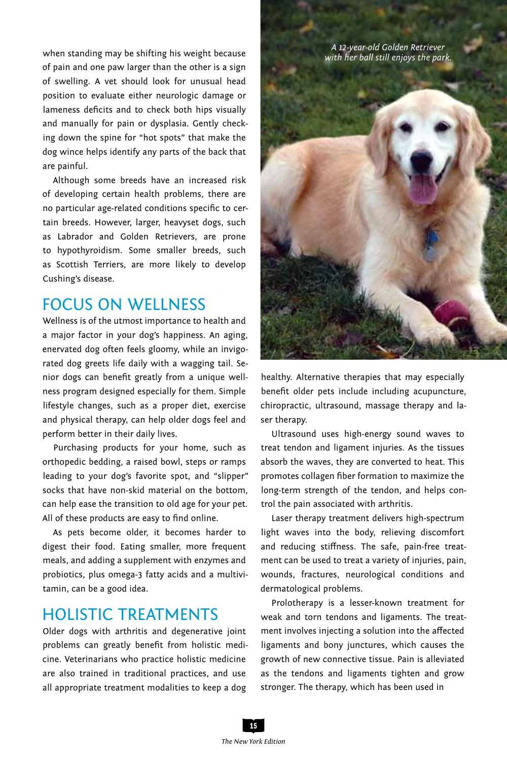when standing may be shifting his weight because of pain and one paw larger than the other is a sign of swelling. A vet should look for unusual head position to evaluate either neurologic damage or lameness deficits and to check both hips visually and manually for pain or dysplasia. Gently checking down the spine for "hot spots" that make the dog wince helps identify any parts of the back that are painful.

Although some breeds have an increased risk of developing certain health problems, there are no particular age-related conditions specific to certain breeds. However, larger, heavyset dogs, such as Labrador and Golden Retrievers, are prone to hypothyroidism. Some smaller breeds, such as Scottish Terriers, are more likely to develop Cushing's disease.

### FOCUS ON WELLNESS

Wellness is of the utmost importance to health and a major factor in your dog's happiness. An aging, enervated dog often feels gloomy, while an invigorated dog greets life daily with a wagging tail. Senior dogs can benefit greatly from a unique wellness program designed especially for them. Simple lifestyle changes, such as a proper diet, exercise and physical therapy, can help older dogs feel and perform better in their daily lives.

Purchasing products for your home, such as orthopedic bedding, a raised bowl, steps or ramps leading to your dog's favorite spot, and "slipper" socks that have non-skid material on the bottom, can help ease the transition to old age for your pet. All of these products are easy to find online.

As pets become older, it becomes harder to digest their food. Eating smaller, more frequent meals, and adding a supplement with enzymes and probiotics, plus omega-3 fatty acids and a multivitamin, can be a good idea.

#### Holistic Treatments

Older dogs with arthritis and degenerative joint problems can greatly benefit from holistic medicine. Veterinarians who practice holistic medicine are also trained in traditional practices, and use all appropriate treatment modalities to keep a dog



healthy. Alternative therapies that may especially benefit older pets include including acupuncture, chiropractic, ultrasound, massage therapy and laser therapy.

Ultrasound uses high-energy sound waves to treat tendon and ligament injuries. As the tissues absorb the waves, they are converted to heat. This promotes collagen fiber formation to maximize the long-term strength of the tendon, and helps control the pain associated with arthritis.

Laser therapy treatment delivers high-spectrum light waves into the body, relieving discomfort and reducing stiffness. The safe, pain-free treatment can be used to treat a variety of injuries, pain, wounds, fractures, neurological conditions and dermatological problems.

Prolotherapy is a lesser-known treatment for weak and torn tendons and ligaments. The treatment involves injecting a solution into the affected ligaments and bony junctures, which causes the growth of new connective tissue. Pain is alleviated as the tendons and ligaments tighten and grow stronger. The therapy, which has been used in